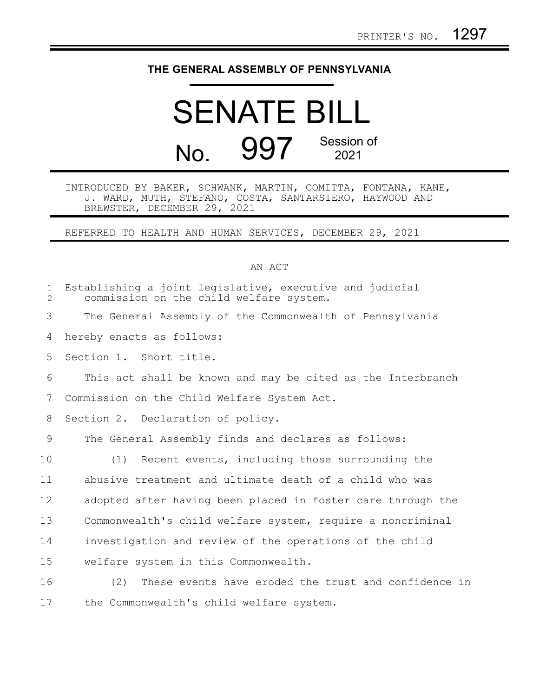## **THE GENERAL ASSEMBLY OF PENNSYLVANIA**

## SENATE BILL No. 997 Session of 2021

## INTRODUCED BY BAKER, SCHWANK, MARTIN, COMITTA, FONTANA, KANE, J. WARD, MUTH, STEFANO, COSTA, SANTARSIERO, HAYWOOD AND BREWSTER, DECEMBER 29, 2021

REFERRED TO HEALTH AND HUMAN SERVICES, DECEMBER 29, 2021

## AN ACT

| $\mathbf{1}$<br>$\overline{2}$ | Establishing a joint legislative, executive and judicial<br>commission on the child welfare system. |
|--------------------------------|-----------------------------------------------------------------------------------------------------|
| 3                              | The General Assembly of the Commonwealth of Pennsylvania                                            |
| 4                              | hereby enacts as follows:                                                                           |
| 5                              | Section 1. Short title.                                                                             |
| 6                              | This act shall be known and may be cited as the Interbranch                                         |
| 7                              | Commission on the Child Welfare System Act.                                                         |
| 8                              | Section 2. Declaration of policy.                                                                   |
| 9                              | The General Assembly finds and declares as follows:                                                 |
| 10                             | (1) Recent events, including those surrounding the                                                  |
| 11                             | abusive treatment and ultimate death of a child who was                                             |
| 12                             | adopted after having been placed in foster care through the                                         |
| 13                             | Commonwealth's child welfare system, require a noncriminal                                          |
| 14                             | investigation and review of the operations of the child                                             |
| 15                             | welfare system in this Commonwealth.                                                                |
| 16                             | (2)<br>These events have eroded the trust and confidence in                                         |
| 17                             | the Commonwealth's child welfare system.                                                            |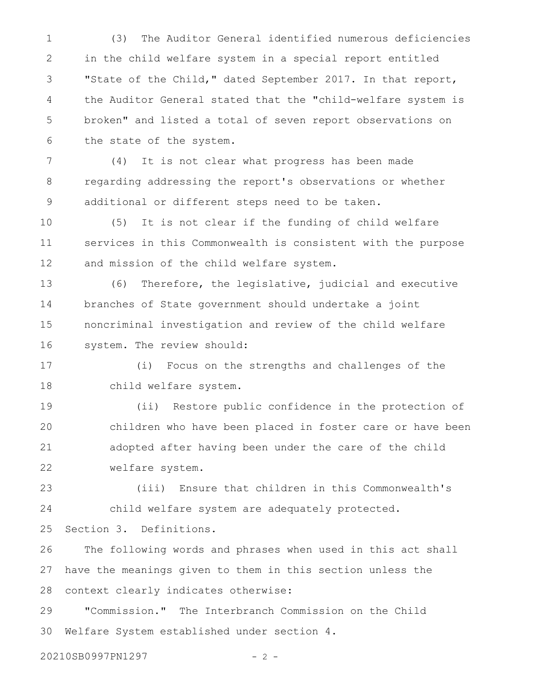(3) The Auditor General identified numerous deficiencies in the child welfare system in a special report entitled "State of the Child," dated September 2017. In that report, the Auditor General stated that the "child-welfare system is broken" and listed a total of seven report observations on the state of the system. 1 2 3 4 5 6

(4) It is not clear what progress has been made regarding addressing the report's observations or whether additional or different steps need to be taken. 7 8 9

(5) It is not clear if the funding of child welfare services in this Commonwealth is consistent with the purpose and mission of the child welfare system. 10 11 12

(6) Therefore, the legislative, judicial and executive branches of State government should undertake a joint noncriminal investigation and review of the child welfare system. The review should: 13 14 15 16

(i) Focus on the strengths and challenges of the child welfare system. 17 18

(ii) Restore public confidence in the protection of children who have been placed in foster care or have been adopted after having been under the care of the child welfare system. 19 20 21 22

(iii) Ensure that children in this Commonwealth's child welfare system are adequately protected. 23 24

Section 3. Definitions. 25

The following words and phrases when used in this act shall have the meanings given to them in this section unless the context clearly indicates otherwise: 26 27 28

"Commission." The Interbranch Commission on the Child Welfare System established under section 4. 29 30

20210SB0997PN1297 - 2 -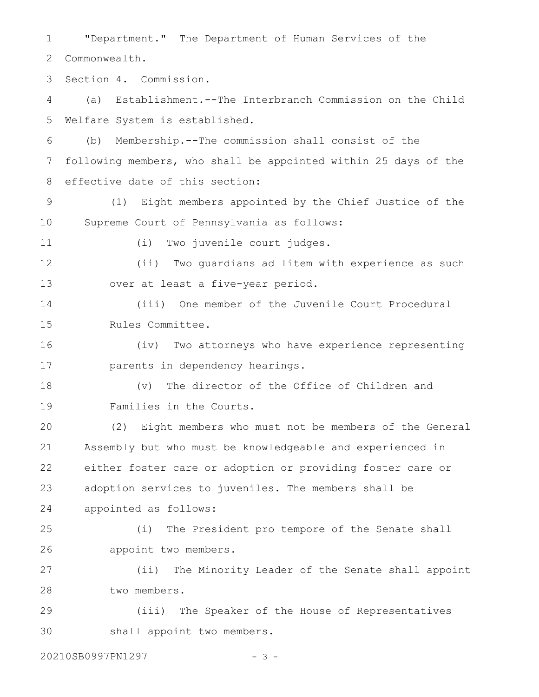"Department." The Department of Human Services of the Commonwealth. Section 4. Commission. (a) Establishment.--The Interbranch Commission on the Child Welfare System is established. (b) Membership.--The commission shall consist of the following members, who shall be appointed within 25 days of the effective date of this section: (1) Eight members appointed by the Chief Justice of the Supreme Court of Pennsylvania as follows: (i) Two juvenile court judges. (ii) Two guardians ad litem with experience as such over at least a five-year period. (iii) One member of the Juvenile Court Procedural Rules Committee. (iv) Two attorneys who have experience representing parents in dependency hearings. (v) The director of the Office of Children and Families in the Courts. (2) Eight members who must not be members of the General Assembly but who must be knowledgeable and experienced in either foster care or adoption or providing foster care or adoption services to juveniles. The members shall be appointed as follows: (i) The President pro tempore of the Senate shall appoint two members. (ii) The Minority Leader of the Senate shall appoint two members. (iii) The Speaker of the House of Representatives shall appoint two members. 20210SB0997PN1297 - 3 -1 2 3 4 5 6 7 8 9 10 11 12 13 14 15 16 17 18 19 20 21 22 23 24 25 26 27 28 29 30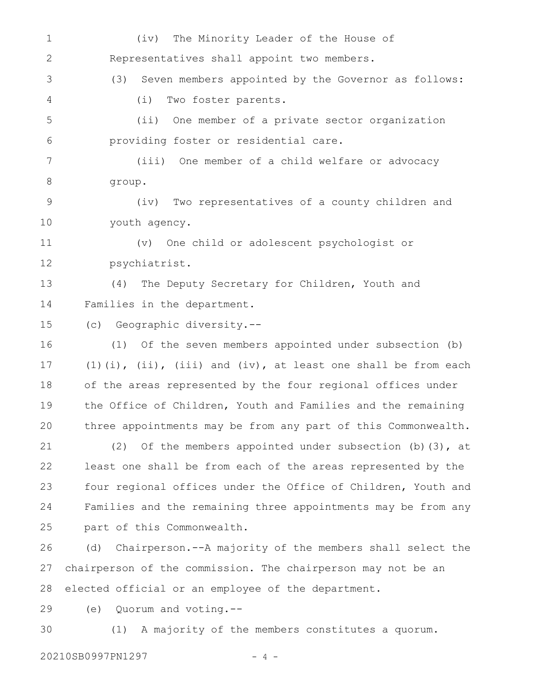(iv) The Minority Leader of the House of Representatives shall appoint two members. (3) Seven members appointed by the Governor as follows: (i) Two foster parents. (ii) One member of a private sector organization providing foster or residential care. (iii) One member of a child welfare or advocacy group. (iv) Two representatives of a county children and youth agency. (v) One child or adolescent psychologist or psychiatrist. (4) The Deputy Secretary for Children, Youth and Families in the department. (c) Geographic diversity.-- (1) Of the seven members appointed under subsection (b)  $(1)(i)$ ,  $(i)$ ,  $(iii)$  and  $(iv)$ , at least one shall be from each of the areas represented by the four regional offices under the Office of Children, Youth and Families and the remaining three appointments may be from any part of this Commonwealth. (2) Of the members appointed under subsection (b)(3), at least one shall be from each of the areas represented by the four regional offices under the Office of Children, Youth and Families and the remaining three appointments may be from any part of this Commonwealth. (d) Chairperson.--A majority of the members shall select the chairperson of the commission. The chairperson may not be an elected official or an employee of the department. (e) Quorum and voting.-- (1) A majority of the members constitutes a quorum. 1 2 3 4 5 6 7 8 9 10 11 12 13 14 15 16 17 18 19 20 21 22 23 24 25 26 27 28 29 30

20210SB0997PN1297 - 4 -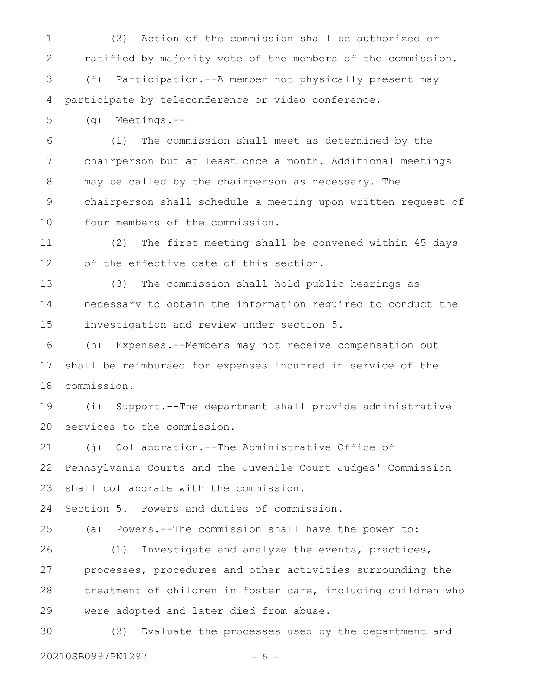(2) Action of the commission shall be authorized or ratified by majority vote of the members of the commission. (f) Participation.--A member not physically present may participate by teleconference or video conference. 1 2 3 4

(g) Meetings.-- 5

(1) The commission shall meet as determined by the chairperson but at least once a month. Additional meetings may be called by the chairperson as necessary. The chairperson shall schedule a meeting upon written request of four members of the commission. 6 7 8 9 10

(2) The first meeting shall be convened within 45 days of the effective date of this section. 11 12

(3) The commission shall hold public hearings as necessary to obtain the information required to conduct the investigation and review under section 5. 13 14 15

(h) Expenses.--Members may not receive compensation but shall be reimbursed for expenses incurred in service of the commission. 16 17 18

(i) Support.--The department shall provide administrative services to the commission. 19 20

(j) Collaboration.--The Administrative Office of Pennsylvania Courts and the Juvenile Court Judges' Commission shall collaborate with the commission. 21 22 23

Section 5. Powers and duties of commission. 24

(a) Powers.--The commission shall have the power to: (1) Investigate and analyze the events, practices, processes, procedures and other activities surrounding the 25 26 27

treatment of children in foster care, including children who were adopted and later died from abuse. 28 29

(2) Evaluate the processes used by the department and 20210SB0997PN1297 - 5 -30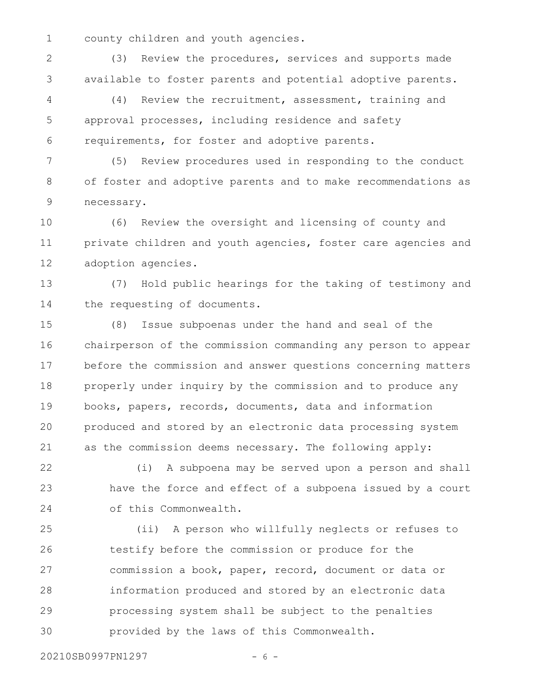county children and youth agencies. 1

(3) Review the procedures, services and supports made available to foster parents and potential adoptive parents. 2 3

(4) Review the recruitment, assessment, training and approval processes, including residence and safety requirements, for foster and adoptive parents. 4 5 6

(5) Review procedures used in responding to the conduct of foster and adoptive parents and to make recommendations as necessary. 7 8 9

(6) Review the oversight and licensing of county and private children and youth agencies, foster care agencies and adoption agencies. 10 11 12

(7) Hold public hearings for the taking of testimony and the requesting of documents. 13 14

(8) Issue subpoenas under the hand and seal of the chairperson of the commission commanding any person to appear before the commission and answer questions concerning matters properly under inquiry by the commission and to produce any books, papers, records, documents, data and information produced and stored by an electronic data processing system as the commission deems necessary. The following apply: 15 16 17 18 19 20 21

(i) A subpoena may be served upon a person and shall have the force and effect of a subpoena issued by a court of this Commonwealth. 22 23 24

(ii) A person who willfully neglects or refuses to testify before the commission or produce for the commission a book, paper, record, document or data or information produced and stored by an electronic data processing system shall be subject to the penalties provided by the laws of this Commonwealth. 25 26 27 28 29 30

20210SB0997PN1297 - 6 -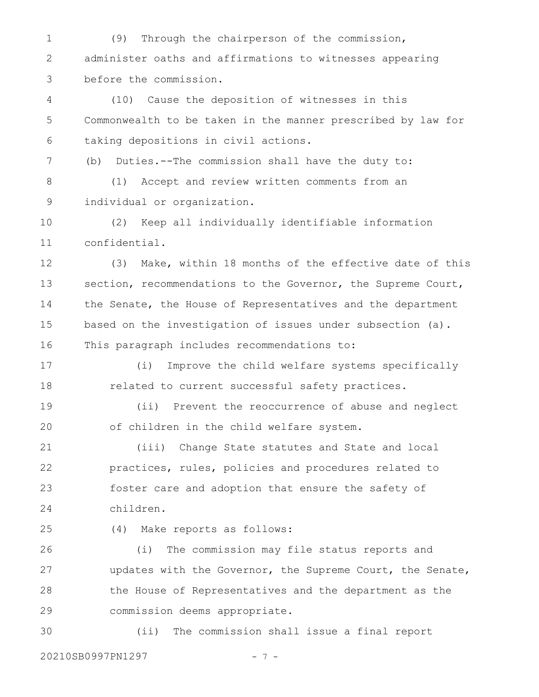(9) Through the chairperson of the commission, administer oaths and affirmations to witnesses appearing before the commission. 1 2 3

(10) Cause the deposition of witnesses in this Commonwealth to be taken in the manner prescribed by law for taking depositions in civil actions. 4 5 6

(b) Duties.--The commission shall have the duty to: 7

(1) Accept and review written comments from an individual or organization. 8 9

(2) Keep all individually identifiable information confidential. 10 11

(3) Make, within 18 months of the effective date of this section, recommendations to the Governor, the Supreme Court, the Senate, the House of Representatives and the department based on the investigation of issues under subsection (a). This paragraph includes recommendations to: 12 13 14 15 16

(i) Improve the child welfare systems specifically related to current successful safety practices. 17 18

(ii) Prevent the reoccurrence of abuse and neglect of children in the child welfare system. 19 20

(iii) Change State statutes and State and local practices, rules, policies and procedures related to foster care and adoption that ensure the safety of children. 21 22 23 24

25

(4) Make reports as follows:

(i) The commission may file status reports and updates with the Governor, the Supreme Court, the Senate, the House of Representatives and the department as the commission deems appropriate. 26 27 28 29

(ii) The commission shall issue a final report 30

20210SB0997PN1297 - 7 -